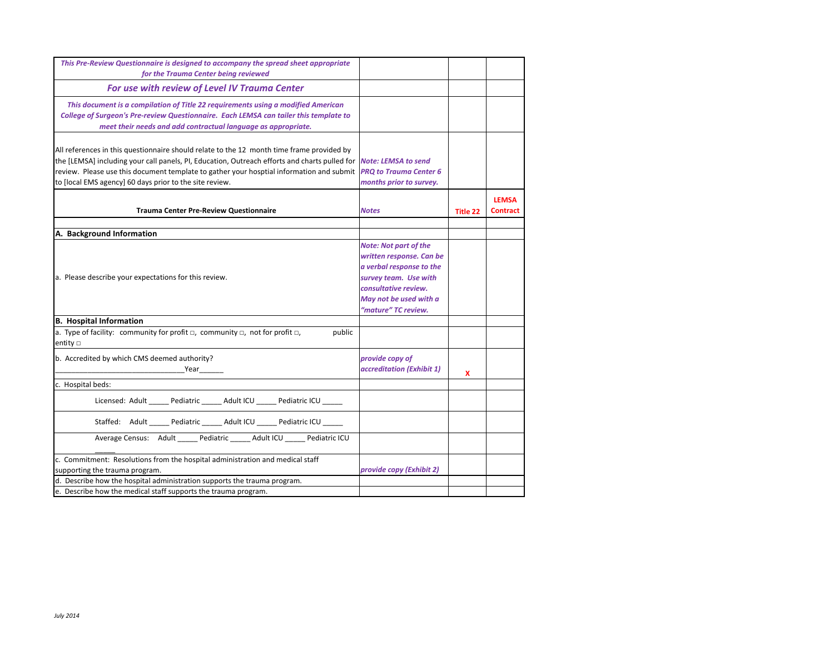| This Pre-Review Questionnaire is designed to accompany the spread sheet appropriate                                                                                                                                                                                                                                                               |                                                                                                                                                        |                 |                                 |
|---------------------------------------------------------------------------------------------------------------------------------------------------------------------------------------------------------------------------------------------------------------------------------------------------------------------------------------------------|--------------------------------------------------------------------------------------------------------------------------------------------------------|-----------------|---------------------------------|
| for the Trauma Center being reviewed                                                                                                                                                                                                                                                                                                              |                                                                                                                                                        |                 |                                 |
| For use with review of Level IV Trauma Center                                                                                                                                                                                                                                                                                                     |                                                                                                                                                        |                 |                                 |
| This document is a compilation of Title 22 requirements using a modified American<br>College of Surgeon's Pre-review Questionnaire. Each LEMSA can tailer this template to<br>meet their needs and add contractual language as appropriate.                                                                                                       |                                                                                                                                                        |                 |                                 |
| All references in this questionnaire should relate to the 12 month time frame provided by<br>the [LEMSA] including your call panels, PI, Education, Outreach efforts and charts pulled for<br>review. Please use this document template to gather your hosptial information and submit<br>to [local EMS agency] 60 days prior to the site review. | <b>Note: LEMSA to send</b><br><b>PRO to Trauma Center 6</b><br>months prior to survey.                                                                 |                 |                                 |
| <b>Trauma Center Pre-Review Questionnaire</b>                                                                                                                                                                                                                                                                                                     | <b>Notes</b>                                                                                                                                           | <b>Title 22</b> | <b>LEMSA</b><br><b>Contract</b> |
|                                                                                                                                                                                                                                                                                                                                                   |                                                                                                                                                        |                 |                                 |
| A. Background Information                                                                                                                                                                                                                                                                                                                         | <b>Note: Not part of the</b>                                                                                                                           |                 |                                 |
| a. Please describe your expectations for this review.                                                                                                                                                                                                                                                                                             | written response. Can be<br>a verbal response to the<br>survey team. Use with<br>consultative review.<br>May not be used with a<br>"mature" TC review. |                 |                                 |
| <b>B.</b> Hospital Information                                                                                                                                                                                                                                                                                                                    |                                                                                                                                                        |                 |                                 |
| a. Type of facility: community for profit $\Box$ , community $\Box$ , not for profit $\Box$ ,<br>public<br>entity $\Box$                                                                                                                                                                                                                          |                                                                                                                                                        |                 |                                 |
| b. Accredited by which CMS deemed authority?<br>Year                                                                                                                                                                                                                                                                                              | provide copy of<br>accreditation (Exhibit 1)                                                                                                           | x               |                                 |
| c. Hospital beds:                                                                                                                                                                                                                                                                                                                                 |                                                                                                                                                        |                 |                                 |
| Licensed: Adult ______ Pediatric ______ Adult ICU ______ Pediatric ICU ______                                                                                                                                                                                                                                                                     |                                                                                                                                                        |                 |                                 |
| Staffed: Adult _____ Pediatric _____ Adult ICU _____ Pediatric ICU ____                                                                                                                                                                                                                                                                           |                                                                                                                                                        |                 |                                 |
| Average Census: Adult _____ Pediatric _____ Adult ICU _____ Pediatric ICU                                                                                                                                                                                                                                                                         |                                                                                                                                                        |                 |                                 |
| c. Commitment: Resolutions from the hospital administration and medical staff<br>supporting the trauma program.                                                                                                                                                                                                                                   | provide copy (Exhibit 2)                                                                                                                               |                 |                                 |
| d. Describe how the hospital administration supports the trauma program.                                                                                                                                                                                                                                                                          |                                                                                                                                                        |                 |                                 |
| e. Describe how the medical staff supports the trauma program.                                                                                                                                                                                                                                                                                    |                                                                                                                                                        |                 |                                 |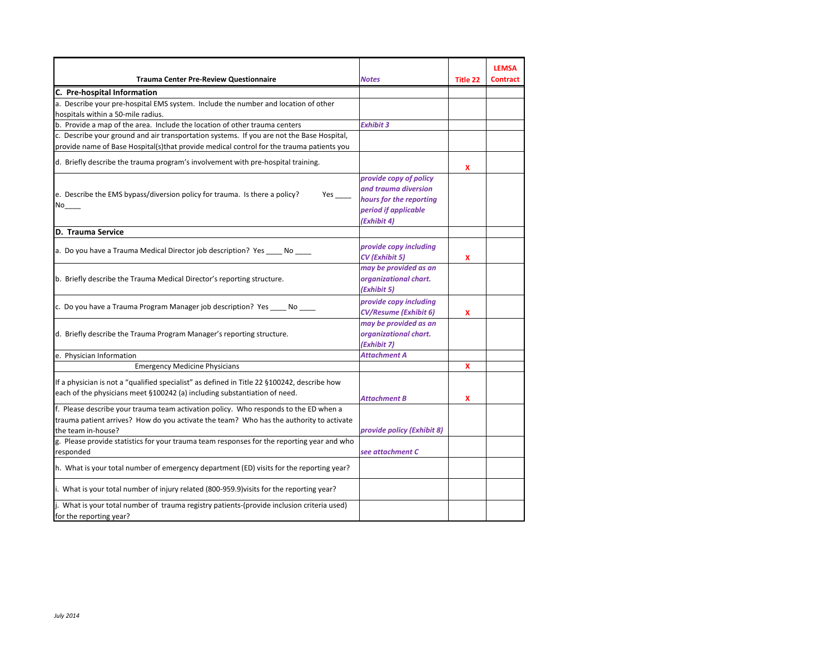| <b>Trauma Center Pre-Review Questionnaire</b>                                                                                                                                                         | <b>Notes</b>                                                                                                     | Title 22 | <b>LEMSA</b><br><b>Contract</b> |
|-------------------------------------------------------------------------------------------------------------------------------------------------------------------------------------------------------|------------------------------------------------------------------------------------------------------------------|----------|---------------------------------|
| C. Pre-hospital Information                                                                                                                                                                           |                                                                                                                  |          |                                 |
| a. Describe your pre-hospital EMS system. Include the number and location of other<br>hospitals within a 50-mile radius.                                                                              |                                                                                                                  |          |                                 |
| b. Provide a map of the area. Include the location of other trauma centers                                                                                                                            | <b>Exhibit 3</b>                                                                                                 |          |                                 |
| c. Describe your ground and air transportation systems. If you are not the Base Hospital,<br>provide name of Base Hospital(s)that provide medical control for the trauma patients you                 |                                                                                                                  |          |                                 |
| d. Briefly describe the trauma program's involvement with pre-hospital training.                                                                                                                      |                                                                                                                  | x        |                                 |
| e. Describe the EMS bypass/diversion policy for trauma. Is there a policy?<br>$Yes$ <sub>---</sub><br>No                                                                                              | provide copy of policy<br>and trauma diversion<br>hours for the reporting<br>period if applicable<br>(Exhibit 4) |          |                                 |
| D. Trauma Service                                                                                                                                                                                     |                                                                                                                  |          |                                 |
| a. Do you have a Trauma Medical Director job description? Yes No                                                                                                                                      | provide copy including<br>CV (Exhibit 5)                                                                         | x        |                                 |
| b. Briefly describe the Trauma Medical Director's reporting structure.                                                                                                                                | may be provided as an<br>organizational chart.<br>(Exhibit 5)                                                    |          |                                 |
| c. Do you have a Trauma Program Manager job description? Yes _____ No _____                                                                                                                           | provide copy including<br><b>CV/Resume (Exhibit 6)</b>                                                           | x        |                                 |
| d. Briefly describe the Trauma Program Manager's reporting structure.                                                                                                                                 | may be provided as an<br>organizational chart.<br>(Exhibit 7)                                                    |          |                                 |
| e. Physician Information                                                                                                                                                                              | Attachment A                                                                                                     |          |                                 |
| <b>Emergency Medicine Physicians</b>                                                                                                                                                                  |                                                                                                                  | x        |                                 |
| If a physician is not a "qualified specialist" as defined in Title 22 §100242, describe how<br>each of the physicians meet §100242 (a) including substantiation of need.                              | <b>Attachment B</b>                                                                                              | X        |                                 |
| f. Please describe your trauma team activation policy. Who responds to the ED when a<br>trauma patient arrives? How do you activate the team? Who has the authority to activate<br>the team in-house? | provide policy (Exhibit 8)                                                                                       |          |                                 |
| g. Please provide statistics for your trauma team responses for the reporting year and who                                                                                                            |                                                                                                                  |          |                                 |
| responded                                                                                                                                                                                             | see attachment C                                                                                                 |          |                                 |
| h. What is your total number of emergency department (ED) visits for the reporting year?                                                                                                              |                                                                                                                  |          |                                 |
| i. What is your total number of injury related (800-959.9) visits for the reporting year?                                                                                                             |                                                                                                                  |          |                                 |
| j. What is your total number of trauma registry patients-(provide inclusion criteria used)<br>for the reporting year?                                                                                 |                                                                                                                  |          |                                 |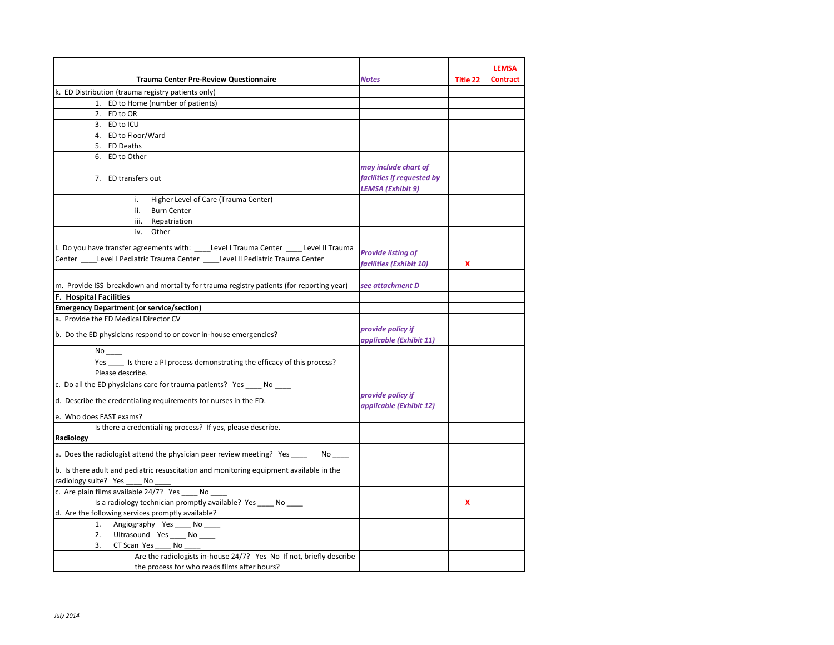|                                                                                          |                            |          | <b>LEMSA</b>    |
|------------------------------------------------------------------------------------------|----------------------------|----------|-----------------|
| <b>Trauma Center Pre-Review Questionnaire</b>                                            | <b>Notes</b>               | Title 22 | <b>Contract</b> |
| k. ED Distribution (trauma registry patients only)                                       |                            |          |                 |
| 1. ED to Home (number of patients)                                                       |                            |          |                 |
| 2. ED to OR                                                                              |                            |          |                 |
| 3. ED to ICU                                                                             |                            |          |                 |
| 4. ED to Floor/Ward                                                                      |                            |          |                 |
| 5. ED Deaths                                                                             |                            |          |                 |
| 6. ED to Other                                                                           |                            |          |                 |
|                                                                                          | may include chart of       |          |                 |
| 7. ED transfers out                                                                      | facilities if requested by |          |                 |
|                                                                                          | LEMSA (Exhibit 9)          |          |                 |
| Higher Level of Care (Trauma Center)<br>i.                                               |                            |          |                 |
| <b>Burn Center</b><br>ii.                                                                |                            |          |                 |
|                                                                                          |                            |          |                 |
| Repatriation<br>iii.<br>Other<br>iv.                                                     |                            |          |                 |
|                                                                                          |                            |          |                 |
| I. Do you have transfer agreements with: ____Level I Trauma Center ____ Level II Trauma  | <b>Provide listing of</b>  |          |                 |
| Center _____Level I Pediatric Trauma Center _____Level II Pediatric Trauma Center        |                            |          |                 |
|                                                                                          | facilities (Exhibit 10)    | x        |                 |
|                                                                                          |                            |          |                 |
| m. Provide ISS breakdown and mortality for trauma registry patients (for reporting year) | see attachment D           |          |                 |
| <b>F. Hospital Facilities</b>                                                            |                            |          |                 |
| <b>Emergency Department (or service/section)</b>                                         |                            |          |                 |
| a. Provide the ED Medical Director CV                                                    |                            |          |                 |
| b. Do the ED physicians respond to or cover in-house emergencies?                        | provide policy if          |          |                 |
|                                                                                          | applicable (Exhibit 11)    |          |                 |
| No                                                                                       |                            |          |                 |
| Yes _____ Is there a PI process demonstrating the efficacy of this process?              |                            |          |                 |
| Please describe.                                                                         |                            |          |                 |
| c. Do all the ED physicians care for trauma patients? Yes<br>No                          |                            |          |                 |
| d. Describe the credentialing requirements for nurses in the ED.                         | provide policy if          |          |                 |
|                                                                                          | applicable (Exhibit 12)    |          |                 |
| e. Who does FAST exams?                                                                  |                            |          |                 |
| Is there a credentialilng process? If yes, please describe.                              |                            |          |                 |
| Radiology                                                                                |                            |          |                 |
| a. Does the radiologist attend the physician peer review meeting? Yes ____<br>No the set |                            |          |                 |
| b. Is there adult and pediatric resuscitation and monitoring equipment available in the  |                            |          |                 |
| radiology suite? Yes<br>No                                                               |                            |          |                 |
| c. Are plain films available 24/7? Yes<br>No                                             |                            |          |                 |
| Is a radiology technician promptly available? Yes<br>No                                  |                            | X        |                 |
| d. Are the following services promptly available?                                        |                            |          |                 |
| Angiography Yes<br>No<br>1.                                                              |                            |          |                 |
| 2.<br>Ultrasound Yes<br>No                                                               |                            |          |                 |
| 3.<br>CT Scan Yes<br>No                                                                  |                            |          |                 |
| Are the radiologists in-house 24/7? Yes No If not, briefly describe                      |                            |          |                 |
| the process for who reads films after hours?                                             |                            |          |                 |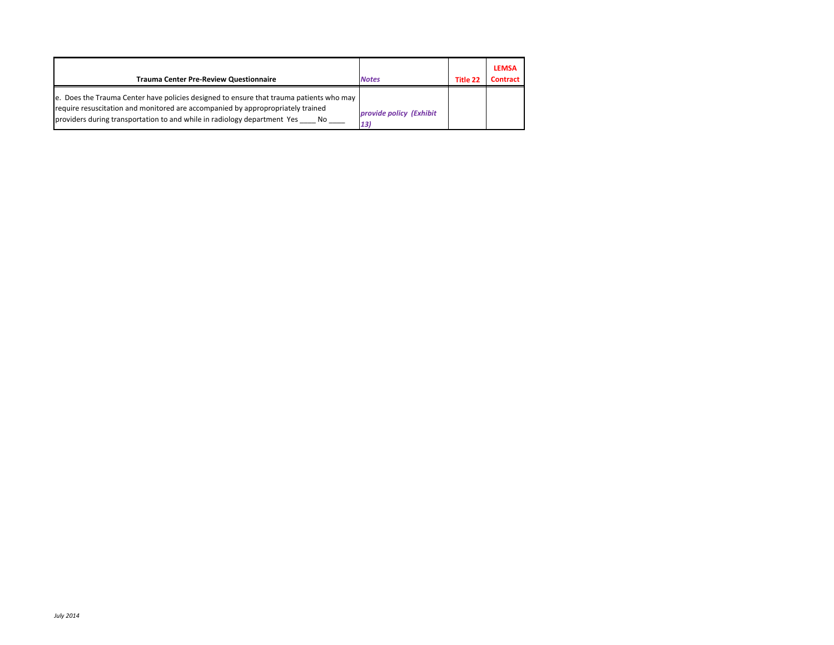| <b>Trauma Center Pre-Review Questionnaire</b>                                                                                                                                                                                                                 | <b>Notes</b>                   | Title 22 | <b>LEMSA</b><br><b>Contract</b> |
|---------------------------------------------------------------------------------------------------------------------------------------------------------------------------------------------------------------------------------------------------------------|--------------------------------|----------|---------------------------------|
| e. Does the Trauma Center have policies designed to ensure that trauma patients who may<br>require resuscitation and monitored are accompanied by appropropriately trained<br>providers during transportation to and while in radiology department Yes<br>No. | provide policy (Exhibit<br>13) |          |                                 |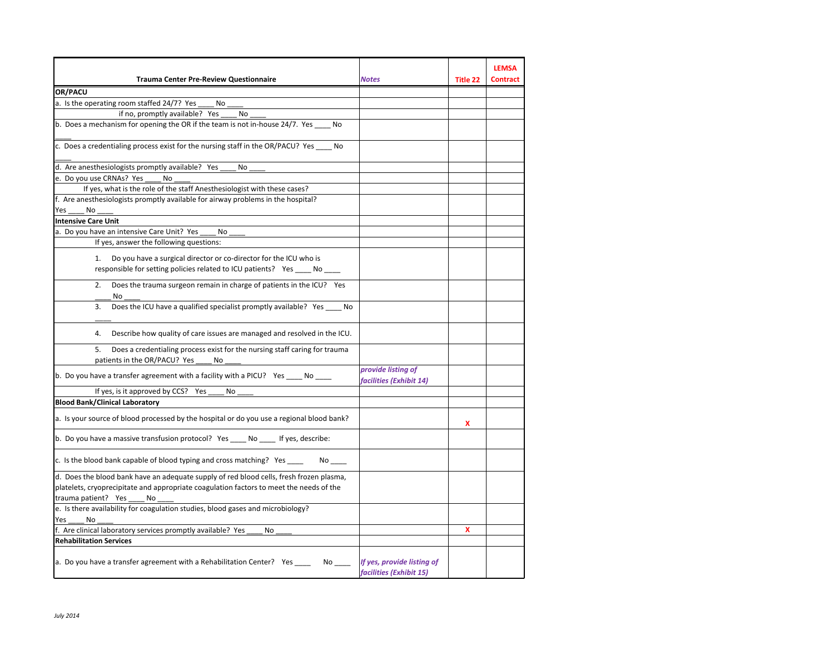|                                                                                                                                                       |                                                          |          | <b>LEMSA</b>    |
|-------------------------------------------------------------------------------------------------------------------------------------------------------|----------------------------------------------------------|----------|-----------------|
| <b>Trauma Center Pre-Review Questionnaire</b>                                                                                                         | Notes                                                    | Title 22 | <b>Contract</b> |
| OR/PACU                                                                                                                                               |                                                          |          |                 |
| a. Is the operating room staffed 24/7? Yes<br>No                                                                                                      |                                                          |          |                 |
| if no, promptly available? Yes<br>No                                                                                                                  |                                                          |          |                 |
| b. Does a mechanism for opening the OR if the team is not in-house 24/7. Yes ____ No                                                                  |                                                          |          |                 |
| c. Does a credentialing process exist for the nursing staff in the OR/PACU? Yes _____ No                                                              |                                                          |          |                 |
| d. Are anesthesiologists promptly available? Yes<br>No                                                                                                |                                                          |          |                 |
| e. Do you use CRNAs? Yes<br>No                                                                                                                        |                                                          |          |                 |
| If yes, what is the role of the staff Anesthesiologist with these cases?                                                                              |                                                          |          |                 |
| f. Are anesthesiologists promptly available for airway problems in the hospital?                                                                      |                                                          |          |                 |
| Yes<br>No                                                                                                                                             |                                                          |          |                 |
| <b>Intensive Care Unit</b>                                                                                                                            |                                                          |          |                 |
| a. Do you have an intensive Care Unit? Yes<br>No                                                                                                      |                                                          |          |                 |
| If yes, answer the following questions:                                                                                                               |                                                          |          |                 |
| Do you have a surgical director or co-director for the ICU who is<br>1.<br>responsible for setting policies related to ICU patients? Yes _____ No ___ |                                                          |          |                 |
| Does the trauma surgeon remain in charge of patients in the ICU? Yes<br>2.<br>No                                                                      |                                                          |          |                 |
| Does the ICU have a qualified specialist promptly available? Yes ____ No<br>3.                                                                        |                                                          |          |                 |
| Describe how quality of care issues are managed and resolved in the ICU.<br>4.                                                                        |                                                          |          |                 |
| 5.<br>Does a credentialing process exist for the nursing staff caring for trauma<br>patients in the OR/PACU? Yes<br>No                                |                                                          |          |                 |
| b. Do you have a transfer agreement with a facility with a PICU? Yes ____ No ____                                                                     | provide listing of<br>facilities (Exhibit 14)            |          |                 |
| If yes, is it approved by CCS? Yes<br>No                                                                                                              |                                                          |          |                 |
| <b>Blood Bank/Clinical Laboratory</b>                                                                                                                 |                                                          |          |                 |
| a. Is your source of blood processed by the hospital or do you use a regional blood bank?                                                             |                                                          | x        |                 |
| b. Do you have a massive transfusion protocol? Yes ____ No ____ If yes, describe:                                                                     |                                                          |          |                 |
| c. Is the blood bank capable of blood typing and cross matching? Yes ____                                                                             |                                                          |          |                 |
| d. Does the blood bank have an adequate supply of red blood cells, fresh frozen plasma,                                                               |                                                          |          |                 |
| platelets, cryoprecipitate and appropriate coagulation factors to meet the needs of the                                                               |                                                          |          |                 |
| trauma patient? Yes<br>No                                                                                                                             |                                                          |          |                 |
| e. Is there availability for coagulation studies, blood gases and microbiology?                                                                       |                                                          |          |                 |
| Yes<br>No                                                                                                                                             |                                                          |          |                 |
| f. Are clinical laboratory services promptly available? Yes<br>No                                                                                     |                                                          | x        |                 |
| <b>Rehabilitation Services</b>                                                                                                                        |                                                          |          |                 |
| a. Do you have a transfer agreement with a Rehabilitation Center? Yes                                                                                 | No If yes, provide listing of<br>facilities (Exhibit 15) |          |                 |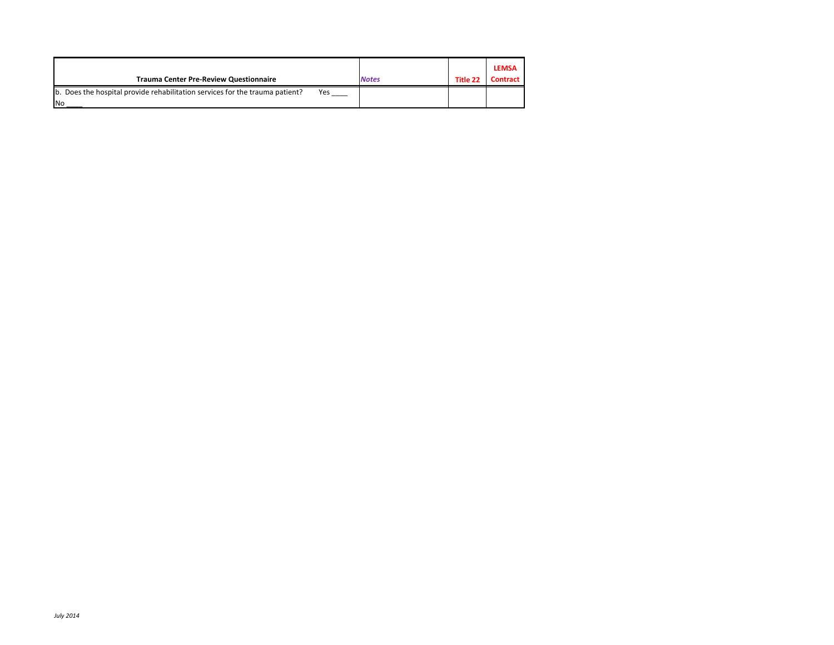| <b>Trauma Center Pre-Review Questionnaire</b>                                              |     | <b>Notes</b> | Title 22 | <b>LEMSA</b><br><b>Contract</b> |
|--------------------------------------------------------------------------------------------|-----|--------------|----------|---------------------------------|
| b. Does the hospital provide rehabilitation services for the trauma patient?<br><b>INo</b> | Yes |              |          |                                 |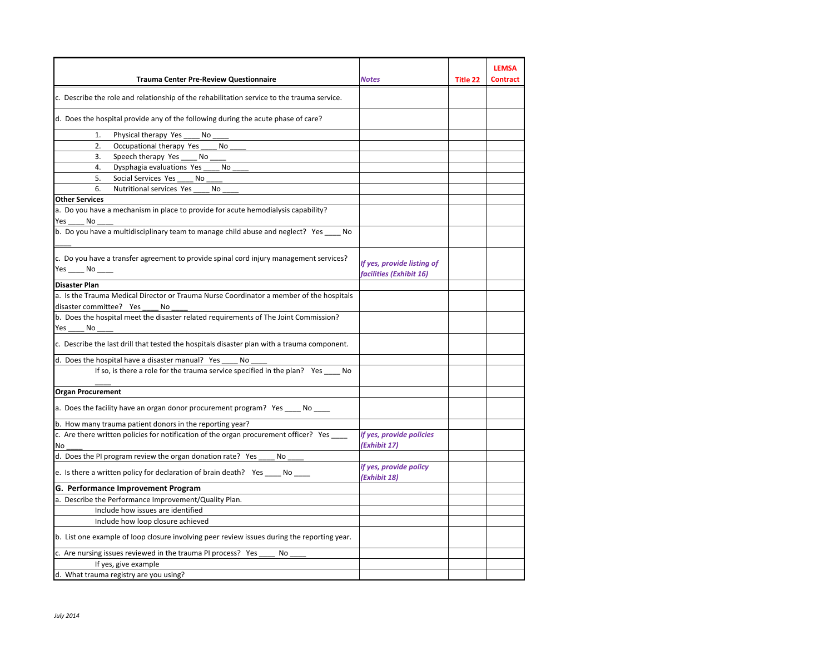|                                                                                                           |                                                       |          | <b>LEMSA</b>    |
|-----------------------------------------------------------------------------------------------------------|-------------------------------------------------------|----------|-----------------|
| <b>Trauma Center Pre-Review Questionnaire</b>                                                             | Notes                                                 | Title 22 | <b>Contract</b> |
| c. Describe the role and relationship of the rehabilitation service to the trauma service.                |                                                       |          |                 |
| d. Does the hospital provide any of the following during the acute phase of care?                         |                                                       |          |                 |
| Physical therapy Yes<br>1.<br>No                                                                          |                                                       |          |                 |
| 2.<br>Occupational therapy Yes<br>No                                                                      |                                                       |          |                 |
| 3.<br>Speech therapy Yes<br>No.                                                                           |                                                       |          |                 |
| 4.<br>Dysphagia evaluations Yes<br>No                                                                     |                                                       |          |                 |
| Social Services Yes<br>5.<br>No                                                                           |                                                       |          |                 |
| Nutritional services Yes<br>6.<br>No                                                                      |                                                       |          |                 |
| <b>Other Services</b>                                                                                     |                                                       |          |                 |
| a. Do you have a mechanism in place to provide for acute hemodialysis capability?<br>Yes<br>No            |                                                       |          |                 |
| b. Do you have a multidisciplinary team to manage child abuse and neglect? Yes No                         |                                                       |          |                 |
| c. Do you have a transfer agreement to provide spinal cord injury management services?<br>$Yes$ No ______ | If yes, provide listing of<br>facilities (Exhibit 16) |          |                 |
| <b>Disaster Plan</b>                                                                                      |                                                       |          |                 |
| a. Is the Trauma Medical Director or Trauma Nurse Coordinator a member of the hospitals                   |                                                       |          |                 |
| disaster committee? Yes<br>No                                                                             |                                                       |          |                 |
| b. Does the hospital meet the disaster related requirements of The Joint Commission?                      |                                                       |          |                 |
| Yes<br>No                                                                                                 |                                                       |          |                 |
| c. Describe the last drill that tested the hospitals disaster plan with a trauma component.               |                                                       |          |                 |
| d. Does the hospital have a disaster manual? Yes<br>No                                                    |                                                       |          |                 |
| If so, is there a role for the trauma service specified in the plan? Yes _____ No                         |                                                       |          |                 |
| <b>Organ Procurement</b>                                                                                  |                                                       |          |                 |
| a. Does the facility have an organ donor procurement program? Yes _____ No                                |                                                       |          |                 |
| b. How many trauma patient donors in the reporting year?                                                  |                                                       |          |                 |
| c. Are there written policies for notification of the organ procurement officer? Yes<br>No                | if yes, provide policies<br>(Exhibit 17)              |          |                 |
| d. Does the PI program review the organ donation rate? Yes<br>No                                          |                                                       |          |                 |
| e. Is there a written policy for declaration of brain death? Yes ____ No ____                             | if yes, provide policy<br>(Exhibit 18)                |          |                 |
| G. Performance Improvement Program                                                                        |                                                       |          |                 |
| a. Describe the Performance Improvement/Quality Plan.                                                     |                                                       |          |                 |
| Include how issues are identified                                                                         |                                                       |          |                 |
| Include how loop closure achieved                                                                         |                                                       |          |                 |
| b. List one example of loop closure involving peer review issues during the reporting year.               |                                                       |          |                 |
| c. Are nursing issues reviewed in the trauma PI process? Yes<br>No                                        |                                                       |          |                 |
| If yes, give example                                                                                      |                                                       |          |                 |
| d. What trauma registry are you using?                                                                    |                                                       |          |                 |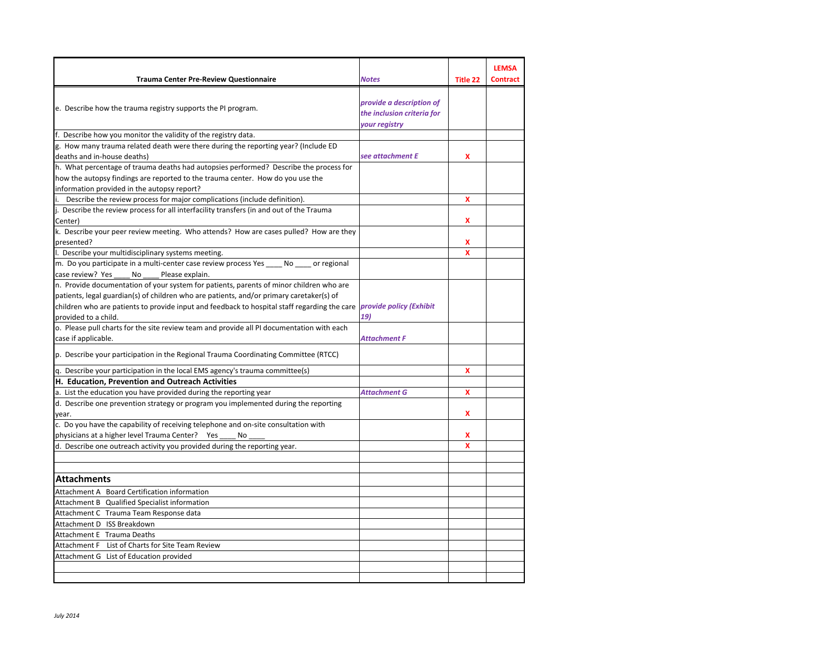| <b>Trauma Center Pre-Review Questionnaire</b>                                                                                                        | <b>Notes</b>               | <b>Title 22</b> | <b>LEMSA</b><br><b>Contract</b> |
|------------------------------------------------------------------------------------------------------------------------------------------------------|----------------------------|-----------------|---------------------------------|
|                                                                                                                                                      |                            |                 |                                 |
| e. Describe how the trauma registry supports the PI program.                                                                                         | provide a description of   |                 |                                 |
|                                                                                                                                                      | the inclusion criteria for |                 |                                 |
|                                                                                                                                                      | your registry              |                 |                                 |
| f. Describe how you monitor the validity of the registry data.<br>g. How many trauma related death were there during the reporting year? (Include ED |                            |                 |                                 |
| deaths and in-house deaths)                                                                                                                          | see attachment E           | x               |                                 |
| h. What percentage of trauma deaths had autopsies performed? Describe the process for                                                                |                            |                 |                                 |
| how the autopsy findings are reported to the trauma center. How do you use the                                                                       |                            |                 |                                 |
| information provided in the autopsy report?                                                                                                          |                            |                 |                                 |
| Describe the review process for major complications (include definition).                                                                            |                            | X               |                                 |
| j. Describe the review process for all interfacility transfers (in and out of the Trauma                                                             |                            |                 |                                 |
| Center)                                                                                                                                              |                            | x               |                                 |
| k. Describe your peer review meeting. Who attends? How are cases pulled? How are they                                                                |                            |                 |                                 |
| presented?                                                                                                                                           |                            | x               |                                 |
| I. Describe your multidisciplinary systems meeting.                                                                                                  |                            | X               |                                 |
| m. Do you participate in a multi-center case review process Yes _____ No _____ or regional                                                           |                            |                 |                                 |
| case review? Yes<br>Please explain.<br>No                                                                                                            |                            |                 |                                 |
| n. Provide documentation of your system for patients, parents of minor children who are                                                              |                            |                 |                                 |
| patients, legal guardian(s) of children who are patients, and/or primary caretaker(s) of                                                             |                            |                 |                                 |
| children who are patients to provide input and feedback to hospital staff regarding the care <i>provide policy (Exhibit</i> )                        |                            |                 |                                 |
| provided to a child.                                                                                                                                 | 19)                        |                 |                                 |
| o. Please pull charts for the site review team and provide all PI documentation with each<br>case if applicable.                                     | Attachment F               |                 |                                 |
| p. Describe your participation in the Regional Trauma Coordinating Committee (RTCC)                                                                  |                            |                 |                                 |
| q. Describe your participation in the local EMS agency's trauma committee(s)                                                                         |                            | X               |                                 |
| H. Education, Prevention and Outreach Activities                                                                                                     |                            |                 |                                 |
| a. List the education you have provided during the reporting year                                                                                    | <b>Attachment G</b>        | x               |                                 |
| d. Describe one prevention strategy or program you implemented during the reporting                                                                  |                            |                 |                                 |
| year.                                                                                                                                                |                            | x               |                                 |
| c. Do you have the capability of receiving telephone and on-site consultation with                                                                   |                            |                 |                                 |
| physicians at a higher level Trauma Center?<br>Yes<br>No                                                                                             |                            | x               |                                 |
| d. Describe one outreach activity you provided during the reporting year.                                                                            |                            | $\mathbf x$     |                                 |
|                                                                                                                                                      |                            |                 |                                 |
| <b>Attachments</b>                                                                                                                                   |                            |                 |                                 |
| Attachment A Board Certification information                                                                                                         |                            |                 |                                 |
| Attachment B Qualified Specialist information                                                                                                        |                            |                 |                                 |
| Attachment C Trauma Team Response data                                                                                                               |                            |                 |                                 |
| Attachment D ISS Breakdown                                                                                                                           |                            |                 |                                 |
| Attachment E Trauma Deaths                                                                                                                           |                            |                 |                                 |
| Attachment F List of Charts for Site Team Review                                                                                                     |                            |                 |                                 |
| Attachment G List of Education provided                                                                                                              |                            |                 |                                 |
|                                                                                                                                                      |                            |                 |                                 |
|                                                                                                                                                      |                            |                 |                                 |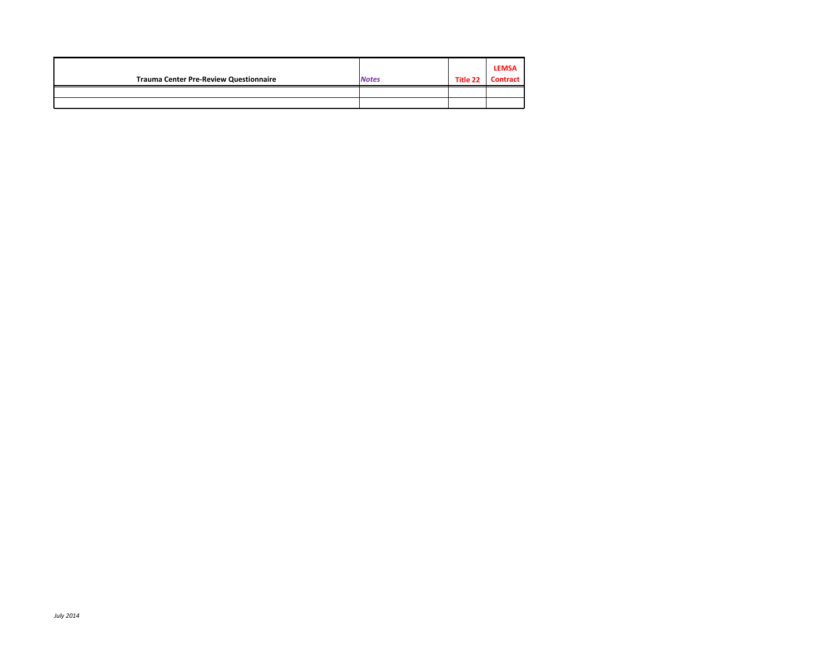| <b>Trauma Center Pre-Review Questionnaire</b> | <b>Notes</b> | Title 22 | <b>LEMSA</b><br>Contract |
|-----------------------------------------------|--------------|----------|--------------------------|
|                                               |              |          |                          |
|                                               |              |          |                          |